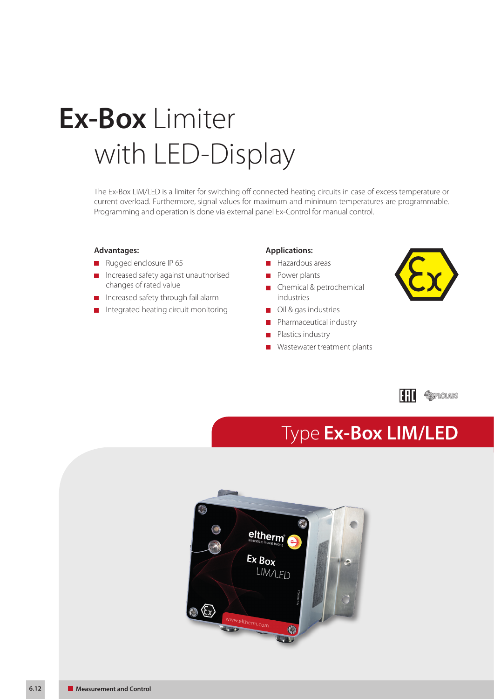# with LED-Display **Ex-Box** Limiter

The Ex-Box LIM/LED is a limiter for switching off connected heating circuits in case of excess temperature or current overload. Furthermore, signal values for maximum and minimum temperatures are programmable. Programming and operation is done via external panel Ex-Control for manual control.

#### **Advantages:**

- Rugged enclosure IP 65
- **Increased safety against unauthorised** changes of rated value
- Increased safety through fail alarm
- Integrated heating circuit monitoring  $\blacksquare$

#### **Applications:**

- **Hazardous areas**
- **Power plants**
- **Chemical & petrochemical** industries
- **Oil & gas industries**
- Pharmaceutical industry m,
- E Plastics industry
- **Wastewater treatment plants**



## Type **Ex-Box LIM/LED**